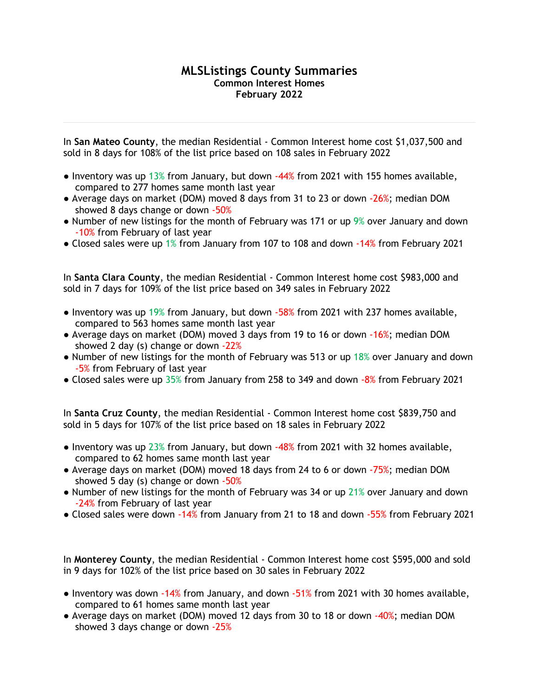## **MLSListings County Summaries Common Interest Homes February 2022**

In **San Mateo County**, the median Residential - Common Interest home cost \$1,037,500 and sold in 8 days for 108% of the list price based on 108 sales in February 2022

- $\bullet$  Inventory was up 13% from January, but down  $-44%$  from 2021 with 155 homes available, compared to 277 homes same month last year
- Average days on market (DOM) moved 8 days from 31 to 23 or down -26%; median DOM showed 8 days change or down -50%
- Number of new listings for the month of February was 171 or up 9% over January and down -10% from February of last year
- Closed sales were up 1% from January from 107 to 108 and down -14% from February 2021

In **Santa Clara County**, the median Residential - Common Interest home cost \$983,000 and sold in 7 days for 109% of the list price based on 349 sales in February 2022

- Inventory was up 19% from January, but down -58% from 2021 with 237 homes available, compared to 563 homes same month last year
- Average days on market (DOM) moved 3 days from 19 to 16 or down -16%; median DOM showed 2 day (s) change or down -22%
- Number of new listings for the month of February was 513 or up 18% over January and down -5% from February of last year
- Closed sales were up 35% from January from 258 to 349 and down -8% from February 2021

In **Santa Cruz County**, the median Residential - Common Interest home cost \$839,750 and sold in 5 days for 107% of the list price based on 18 sales in February 2022

- Inventory was up  $23\%$  from January, but down  $-48\%$  from 2021 with 32 homes available, compared to 62 homes same month last year
- Average days on market (DOM) moved 18 days from 24 to 6 or down -75%; median DOM showed 5 day (s) change or down  $-50\%$
- Number of new listings for the month of February was 34 or up 21% over January and down -24% from February of last year
- Closed sales were down -14% from January from 21 to 18 and down -55% from February 2021

In **Monterey County**, the median Residential - Common Interest home cost \$595,000 and sold in 9 days for 102% of the list price based on 30 sales in February 2022

- Inventory was down -14% from January, and down -51% from 2021 with 30 homes available, compared to 61 homes same month last year
- Average days on market (DOM) moved 12 days from 30 to 18 or down -40%; median DOM showed 3 days change or down -25%